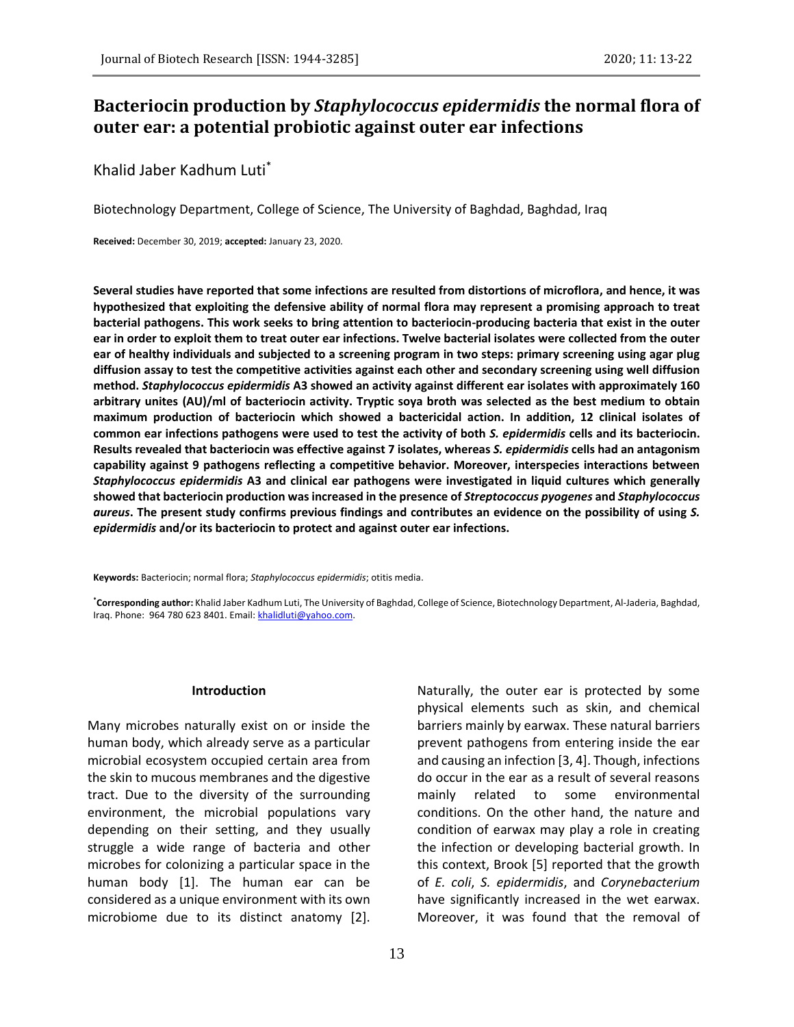# **Bacteriocin production by** *Staphylococcus epidermidis* **the normal flora of outer ear: a potential probiotic against outer ear infections**

Khalid Jaber Kadhum Luti\*

Biotechnology Department, College of Science, The University of Baghdad, Baghdad, Iraq

**Received:** December 30, 2019; **accepted:** January 23, 2020.

**Several studies have reported that some infections are resulted from distortions of microflora, and hence, it was hypothesized that exploiting the defensive ability of normal flora may represent a promising approach to treat bacterial pathogens. This work seeks to bring attention to bacteriocin-producing bacteria that exist in the outer ear in order to exploit them to treat outer ear infections. Twelve bacterial isolates were collected from the outer ear of healthy individuals and subjected to a screening program in two steps: primary screening using agar plug diffusion assay to test the competitive activities against each other and secondary screening using well diffusion method.** *Staphylococcus epidermidis* **A3 showed an activity against different ear isolates with approximately 160 arbitrary unites (AU)/ml of bacteriocin activity. Tryptic soya broth was selected as the best medium to obtain maximum production of bacteriocin which showed a bactericidal action. In addition, 12 clinical isolates of common ear infections pathogens were used to test the activity of both** *S. epidermidis* **cells and its bacteriocin. Results revealed that bacteriocin was effective against 7 isolates, whereas** *S. epidermidis* **cells had an antagonism capability against 9 pathogens reflecting a competitive behavior. Moreover, interspecies interactions between**  *Staphylococcus epidermidis* **A3 and clinical ear pathogens were investigated in liquid cultures which generally showed that bacteriocin production was increased in the presence of** *Streptococcus pyogenes* **and** *Staphylococcus aureus***. The present study confirms previous findings and contributes an evidence on the possibility of using** *S. epidermidis* **and/or its bacteriocin to protect and against outer ear infections.**

**Keywords:** Bacteriocin; normal flora; *Staphylococcus epidermidis*; otitis media.

**\*Corresponding author:** Khalid Jaber Kadhum Luti, The University of Baghdad, College of Science, Biotechnology Department, Al-Jaderia, Baghdad, Iraq. Phone: 964 780 623 8401. Email[: khalidluti@yahoo.com.](mailto:khalidluti@yahoo.com)

#### **Introduction**

Many microbes naturally exist on or inside the human body, which already serve as a particular microbial ecosystem occupied certain area from the skin to mucous membranes and the digestive tract. Due to the diversity of the surrounding environment, the microbial populations vary depending on their setting, and they usually struggle a wide range of bacteria and other microbes for colonizing a particular space in the human body [1]. The human ear can be considered as a unique environment with its own microbiome due to its distinct anatomy [2].

Naturally, the outer ear is protected by some physical elements such as skin, and chemical barriers mainly by earwax. These natural barriers prevent pathogens from entering inside the ear and causing an infection [3, 4]. Though, infections do occur in the ear as a result of several reasons mainly related to some environmental conditions. On the other hand, the nature and condition of earwax may play a role in creating the infection or developing bacterial growth. In this context, Brook [5] reported that the growth of *E. coli*, *S. epidermidis*, and *Corynebacterium* have significantly increased in the wet earwax. Moreover, it was found that the removal of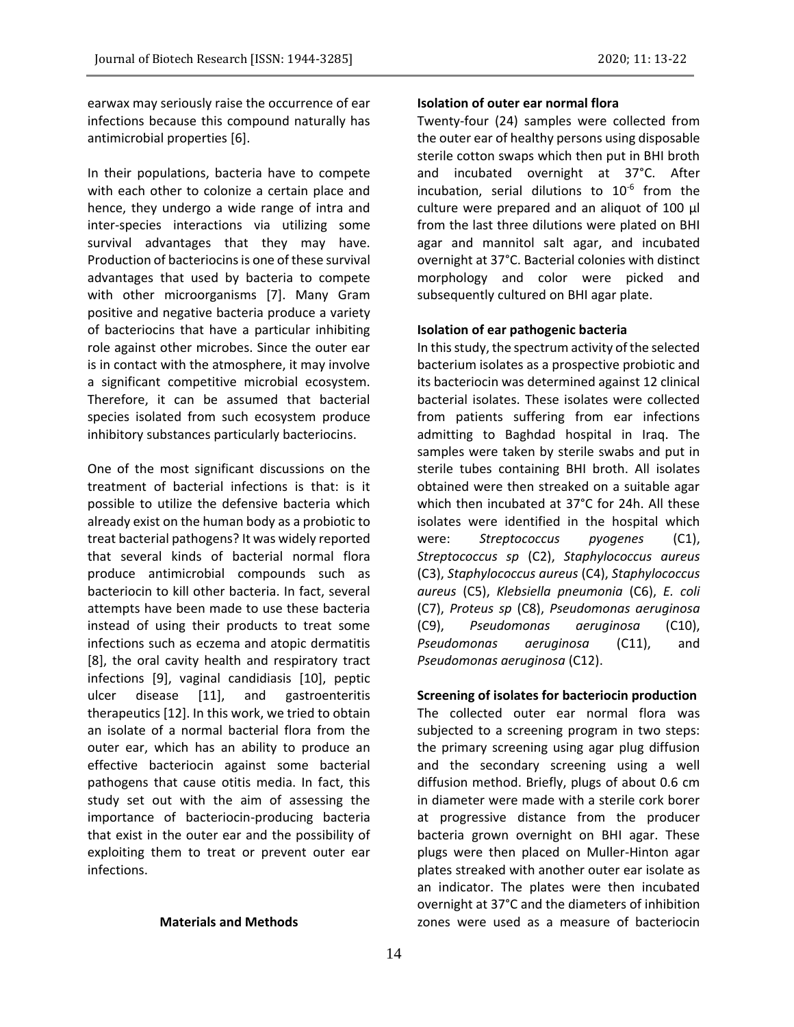earwax may seriously raise the occurrence of ear infections because this compound naturally has antimicrobial properties [6].

In their populations, bacteria have to compete with each other to colonize a certain place and hence, they undergo a wide range of intra and inter-species interactions via utilizing some survival advantages that they may have. Production of bacteriocins is one of these survival advantages that used by bacteria to compete with other microorganisms [7]. Many Gram positive and negative bacteria produce a variety of bacteriocins that have a particular inhibiting role against other microbes. Since the outer ear is in contact with the atmosphere, it may involve a significant competitive microbial ecosystem. Therefore, it can be assumed that bacterial species isolated from such ecosystem produce inhibitory substances particularly bacteriocins.

One of the most significant discussions on the treatment of bacterial infections is that: is it possible to utilize the defensive bacteria which already exist on the human body as a probiotic to treat bacterial pathogens? It was widely reported that several kinds of bacterial normal flora produce antimicrobial compounds such as bacteriocin to kill other bacteria. In fact, several attempts have been made to use these bacteria instead of using their products to treat some infections such as eczema and atopic dermatitis [8], the oral cavity health and respiratory tract infections [9], vaginal candidiasis [10], peptic ulcer disease [11], and gastroenteritis therapeutics [12]. In this work, we tried to obtain an isolate of a normal bacterial flora from the outer ear, which has an ability to produce an effective bacteriocin against some bacterial pathogens that cause otitis media. In fact, this study set out with the aim of assessing the importance of bacteriocin-producing bacteria that exist in the outer ear and the possibility of exploiting them to treat or prevent outer ear infections.

#### **Materials and Methods**

#### **Isolation of outer ear normal flora**

Twenty-four (24) samples were collected from the outer ear of healthy persons using disposable sterile cotton swaps which then put in BHI broth and incubated overnight at 37°C. After incubation, serial dilutions to  $10^{-6}$  from the culture were prepared and an aliquot of 100 μl from the last three dilutions were plated on BHI agar and mannitol salt agar, and incubated overnight at 37°C. Bacterial colonies with distinct morphology and color were picked and subsequently cultured on BHI agar plate.

## **Isolation of ear pathogenic bacteria**

In this study, the spectrum activity of the selected bacterium isolates as a prospective probiotic and its bacteriocin was determined against 12 clinical bacterial isolates. These isolates were collected from patients suffering from ear infections admitting to Baghdad hospital in Iraq. The samples were taken by sterile swabs and put in sterile tubes containing BHI broth. All isolates obtained were then streaked on a suitable agar which then incubated at 37°C for 24h. All these isolates were identified in the hospital which were: *Streptococcus pyogenes* (C1), *Streptococcus sp* (C2), *Staphylococcus aureus* (C3), *Staphylococcus aureus* (C4), *Staphylococcus aureus* (C5), *Klebsiella pneumonia* (C6), *E. coli* (C7), *Proteus sp* (C8), *Pseudomonas aeruginosa* (C9), *Pseudomonas aeruginosa* (C10), *Pseudomonas aeruginosa* (C11), and *Pseudomonas aeruginosa* (C12).

## **Screening of isolates for bacteriocin production**

The collected outer ear normal flora was subjected to a screening program in two steps: the primary screening using agar plug diffusion and the secondary screening using a well diffusion method. Briefly, plugs of about 0.6 cm in diameter were made with a sterile cork borer at progressive distance from the producer bacteria grown overnight on BHI agar. These plugs were then placed on Muller-Hinton agar plates streaked with another outer ear isolate as an indicator. The plates were then incubated overnight at 37°C and the diameters of inhibition zones were used as a measure of bacteriocin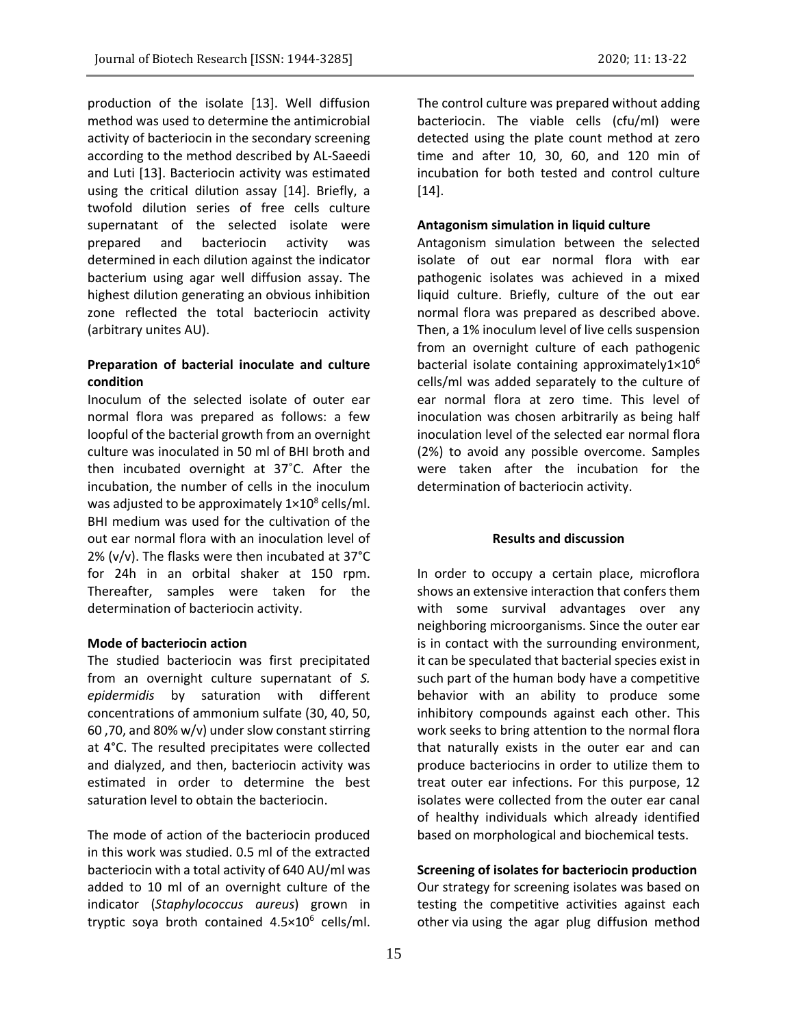production of the isolate [13]. Well diffusion method was used to determine the antimicrobial activity of bacteriocin in the secondary screening according to the method described by AL-Saeedi and Luti [13]. Bacteriocin activity was estimated using the critical dilution assay [14]. Briefly, a twofold dilution series of free cells culture supernatant of the selected isolate were prepared and bacteriocin activity was determined in each dilution against the indicator bacterium using agar well diffusion assay. The highest dilution generating an obvious inhibition zone reflected the total bacteriocin activity (arbitrary unites AU).

## **Preparation of bacterial inoculate and culture condition**

Inoculum of the selected isolate of outer ear normal flora was prepared as follows: a few loopful of the bacterial growth from an overnight culture was inoculated in 50 ml of BHI broth and then incubated overnight at 37˚C. After the incubation, the number of cells in the inoculum was adjusted to be approximately  $1\times10^8$  cells/ml. BHI medium was used for the cultivation of the out ear normal flora with an inoculation level of 2% (v/v). The flasks were then incubated at 37°C for 24h in an orbital shaker at 150 rpm. Thereafter, samples were taken for the determination of bacteriocin activity.

## **Mode of bacteriocin action**

The studied bacteriocin was first precipitated from an overnight culture supernatant of *S. epidermidis* by saturation with different concentrations of ammonium sulfate (30, 40, 50, 60 ,70, and 80% w/v) under slow constant stirring at 4°C. The resulted precipitates were collected and dialyzed, and then, bacteriocin activity was estimated in order to determine the best saturation level to obtain the bacteriocin.

The mode of action of the bacteriocin produced in this work was studied. 0.5 ml of the extracted bacteriocin with a total activity of 640 AU/ml was added to 10 ml of an overnight culture of the indicator (*Staphylococcus aureus*) grown in tryptic soya broth contained 4.5×10<sup>6</sup> cells/ml. The control culture was prepared without adding bacteriocin. The viable cells (cfu/ml) were detected using the plate count method at zero time and after 10, 30, 60, and 120 min of incubation for both tested and control culture [14].

#### **Antagonism simulation in liquid culture**

Antagonism simulation between the selected isolate of out ear normal flora with ear pathogenic isolates was achieved in a mixed liquid culture. Briefly, culture of the out ear normal flora was prepared as described above. Then, a 1% inoculum level of live cells suspension from an overnight culture of each pathogenic bacterial isolate containing approximately $1\times10^6$ cells/ml was added separately to the culture of ear normal flora at zero time. This level of inoculation was chosen arbitrarily as being half inoculation level of the selected ear normal flora (2%) to avoid any possible overcome. Samples were taken after the incubation for the determination of bacteriocin activity.

### **Results and discussion**

In order to occupy a certain place, microflora shows an extensive interaction that confers them with some survival advantages over any neighboring microorganisms. Since the outer ear is in contact with the surrounding environment, it can be speculated that bacterial species exist in such part of the human body have a competitive behavior with an ability to produce some inhibitory compounds against each other. This work seeks to bring attention to the normal flora that naturally exists in the outer ear and can produce bacteriocins in order to utilize them to treat outer ear infections. For this purpose, 12 isolates were collected from the outer ear canal of healthy individuals which already identified based on morphological and biochemical tests.

## **Screening of isolates for bacteriocin production**

Our strategy for screening isolates was based on testing the competitive activities against each other via using the agar plug diffusion method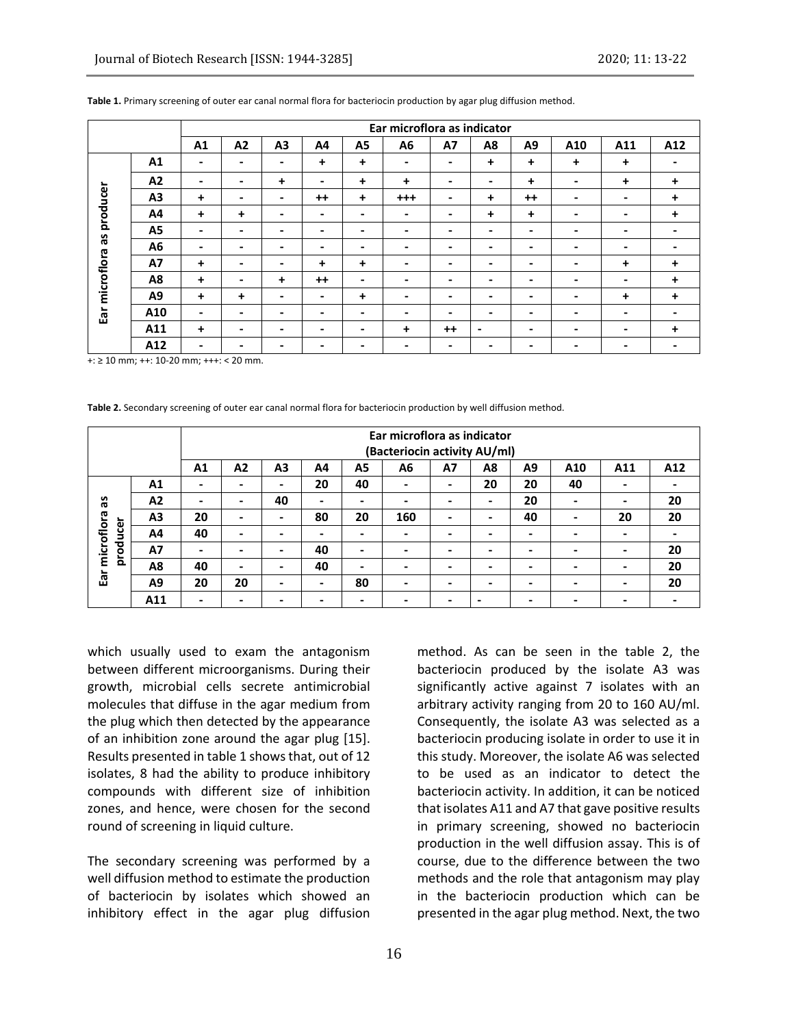|                                  |                | Ear microflora as indicator |                          |                          |                          |                          |                          |      |           |      |                          |             |     |
|----------------------------------|----------------|-----------------------------|--------------------------|--------------------------|--------------------------|--------------------------|--------------------------|------|-----------|------|--------------------------|-------------|-----|
|                                  |                | A1                          | A2                       | A <sub>3</sub>           | A4                       | A <sub>5</sub>           | A6                       | A7   | A8        | A9   | A10                      | A11         | A12 |
| producer<br>Se<br>Ear microflora | A1             | -                           | $\overline{\phantom{0}}$ | -                        | $\ddot{}$                | $\ddot{}$                | $\overline{\phantom{0}}$ | ٠    | $\ddot{}$ | +    | $\ddot{}$                | $\ddot{}$   |     |
|                                  | A2             | -                           | -                        | ÷                        | -                        | $\ddot{}$                | ÷                        | ٠    | -         | +    | $\overline{\phantom{0}}$ | +           | +   |
|                                  | A <sub>3</sub> | $\ddot{}$                   | $\,$                     | $\,$                     | $++$                     | $\ddot{}$                | $+++$                    | ۰    | $\ddot{}$ | $++$ | $\,$                     | -           | +   |
|                                  | A4             | $\ddot{}$                   | $\ddot{}$                | $\overline{\phantom{0}}$ | $\overline{\phantom{a}}$ | $\blacksquare$           | -                        | ٠    | $\ddot{}$ | +    | -                        |             | +   |
|                                  | A5             |                             | -                        | -                        | ۰                        | $\overline{\phantom{0}}$ | -                        | ٠    | -         | ۰    |                          |             |     |
|                                  | A <sub>6</sub> | ۰                           | $\,$                     | $\,$                     | $\overline{\phantom{a}}$ | $\blacksquare$           | $\overline{\phantom{0}}$ | ۰    | ۰         | ۰    | $\,$                     |             |     |
|                                  | <b>A7</b>      | $\ddot{}$                   | $\overline{\phantom{0}}$ | -                        | $\ddot{}$                | $\ddot{}$                | ۰                        | ٠    | ٠         | ۰    | $\overline{\phantom{0}}$ | $\ddot{}$   | +   |
|                                  | A8             | $\ddot{}$                   | -                        | $\ddot{}$                | $++$                     | $\overline{\phantom{a}}$ | $\overline{\phantom{0}}$ | -    | -         | -    | -                        |             | +   |
|                                  | A9             | $\ddot{+}$                  | $\ddot{}$                | $\,$                     | $\overline{\phantom{0}}$ | $\ddot{}$                | $\overline{\phantom{0}}$ | ۰    | ۰         | ۰    | $\,$                     | $\ddotmark$ | +   |
|                                  | A10            | $\,$                        | $\overline{\phantom{0}}$ | -                        | $\overline{\phantom{0}}$ | $\blacksquare$           | ۰                        | ٠    | -         | ۰    | $\overline{\phantom{0}}$ | -           |     |
|                                  | A11            | $\ddot{}$                   | ۰                        | -                        | -                        | -                        | +                        | $++$ | -         | -    |                          |             | +   |
|                                  | A12            | ۰                           | -                        | -                        | $\overline{\phantom{0}}$ | $\blacksquare$           | -                        | ٠    | -         | ۰    |                          |             |     |

#### **Table 1.** Primary screening of outer ear canal normal flora for bacteriocin production by agar plug diffusion method.

+: ≥ 10 mm; ++: 10-20 mm; +++: < 20 mm.

**Table 2.** Secondary screening of outer ear canal normal flora for bacteriocin production by well diffusion method.

|                                                            |                | Ear microflora as indicator |                              |                          |                |                          |     |                |    |                |                          |     |     |
|------------------------------------------------------------|----------------|-----------------------------|------------------------------|--------------------------|----------------|--------------------------|-----|----------------|----|----------------|--------------------------|-----|-----|
|                                                            |                |                             | (Bacteriocin activity AU/ml) |                          |                |                          |     |                |    |                |                          |     |     |
|                                                            |                | A <sub>1</sub>              | A <sub>2</sub>               | A3                       | A4             | A5                       | A6  | A7             | A8 | A <sub>9</sub> | A10                      | A11 | A12 |
| æ<br>microflora<br>$\overline{\phantom{0}}$<br>gou<br>prod | A1             |                             |                              | $\overline{\phantom{0}}$ | 20             | 40                       |     | ۰              | 20 | 20             | 40                       |     |     |
|                                                            | A2             | -                           | $\overline{\phantom{a}}$     | 40                       | $\blacksquare$ | $\,$                     |     | -              | -  | 20             | $\blacksquare$           | ۰   | 20  |
|                                                            | A3             | 20                          | $\overline{\phantom{0}}$     | $\overline{\phantom{0}}$ | 80             | 20                       | 160 | -              | -  | 40             | $\overline{\phantom{a}}$ | 20  | 20  |
|                                                            | A4             | 40                          |                              |                          | -              | -                        |     |                |    |                | -                        | ۰   |     |
|                                                            | <b>A7</b>      |                             | $\blacksquare$               | ۰                        | 40             | $\overline{\phantom{0}}$ |     | -              |    |                | -                        | ۰   | 20  |
|                                                            | A8             | 40                          | $\overline{\phantom{0}}$     | $\overline{\phantom{0}}$ | 40             | $\overline{\phantom{0}}$ | ۰   | $\blacksquare$ | -  | -              | $\overline{\phantom{0}}$ | -   | 20  |
| Ear                                                        | A <sub>9</sub> | 20                          | 20                           | ٠                        | $\blacksquare$ | 80                       |     | -              |    |                | -                        | ۰   | 20  |
|                                                            | A11            |                             |                              |                          | -              | -                        |     |                |    |                | $\blacksquare$           | -   |     |

which usually used to exam the antagonism between different microorganisms. During their growth, microbial cells secrete antimicrobial molecules that diffuse in the agar medium from the plug which then detected by the appearance of an inhibition zone around the agar plug [15]. Results presented in table 1 shows that, out of 12 isolates, 8 had the ability to produce inhibitory compounds with different size of inhibition zones, and hence, were chosen for the second round of screening in liquid culture.

The secondary screening was performed by a well diffusion method to estimate the production of bacteriocin by isolates which showed an inhibitory effect in the agar plug diffusion

method. As can be seen in the table 2, the bacteriocin produced by the isolate A3 was significantly active against 7 isolates with an arbitrary activity ranging from 20 to 160 AU/ml. Consequently, the isolate A3 was selected as a bacteriocin producing isolate in order to use it in this study. Moreover, the isolate A6 was selected to be used as an indicator to detect the bacteriocin activity. In addition, it can be noticed that isolates A11 and A7 that gave positive results in primary screening, showed no bacteriocin production in the well diffusion assay. This is of course, due to the difference between the two methods and the role that antagonism may play in the bacteriocin production which can be presented in the agar plug method. Next, the two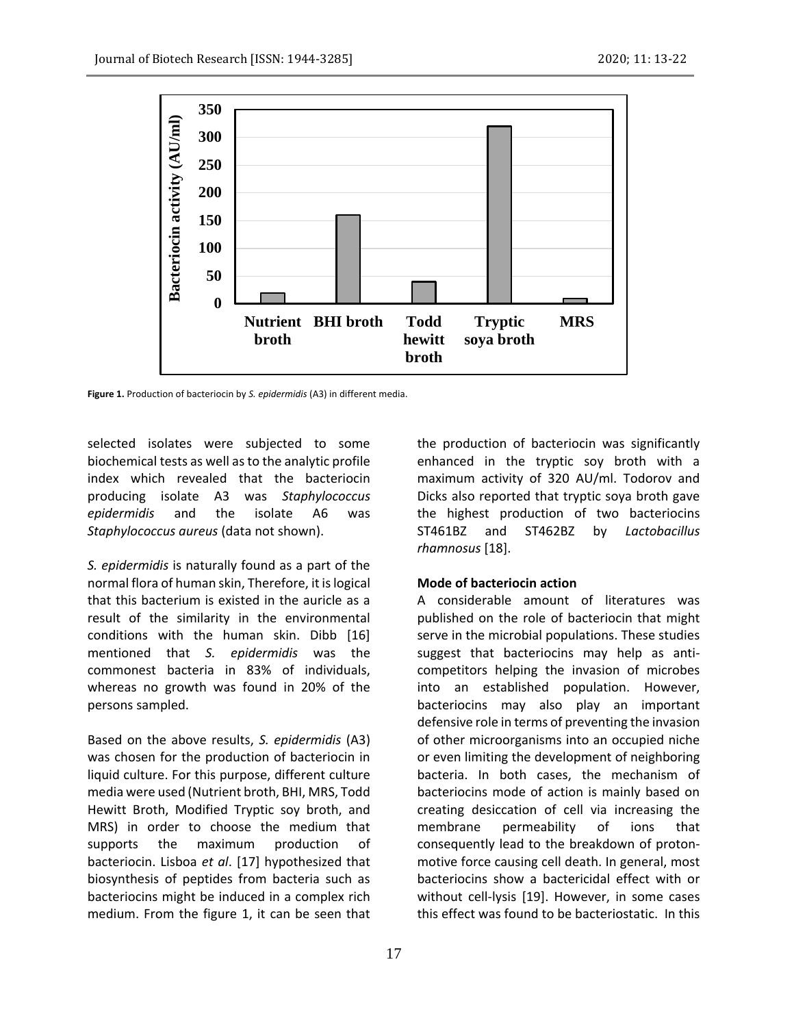

**Figure 1.** Production of bacteriocin by *S. epidermidis* (A3) in different media.

selected isolates were subjected to some biochemical tests as well as to the analytic profile index which revealed that the bacteriocin producing isolate A3 was *Staphylococcus epidermidis* and the isolate A6 was *Staphylococcus aureus* (data not shown).

*S. epidermidis* is naturally found as a part of the normal flora of human skin, Therefore, it is logical that this bacterium is existed in the auricle as a result of the similarity in the environmental conditions with the human skin. Dibb [16] mentioned that *S. epidermidis* was the commonest bacteria in 83% of individuals, whereas no growth was found in 20% of the persons sampled.

Based on the above results, *S. epidermidis* (A3) was chosen for the production of bacteriocin in liquid culture. For this purpose, different culture media were used (Nutrient broth, BHI, MRS, Todd Hewitt Broth, Modified Tryptic soy broth, and MRS) in order to choose the medium that supports the maximum production of bacteriocin. Lisboa *et al*. [17] hypothesized that biosynthesis of peptides from bacteria such as bacteriocins might be induced in a complex rich medium. From the figure 1, it can be seen that

17

the production of bacteriocin was significantly enhanced in the tryptic soy broth with a maximum activity of 320 AU/ml. Todorov and Dicks also reported that tryptic soya broth gave the highest production of two bacteriocins ST461BZ and ST462BZ by *Lactobacillus rhamnosus* [18].

## **Mode of bacteriocin action**

A considerable amount of literatures was published on the role of bacteriocin that might serve in the microbial populations. These studies suggest that bacteriocins may help as anticompetitors helping the invasion of microbes into an established population. However, bacteriocins may also play an important defensive role in terms of preventing the invasion of other microorganisms into an occupied niche or even limiting the development of neighboring bacteria. In both cases, the mechanism of bacteriocins mode of action is mainly based on creating desiccation of cell via increasing the membrane permeability of ions that consequently lead to the breakdown of protonmotive force causing cell death. In general, most bacteriocins show a bactericidal effect with or without cell-lysis [19]. However, in some cases this effect was found to be bacteriostatic. In this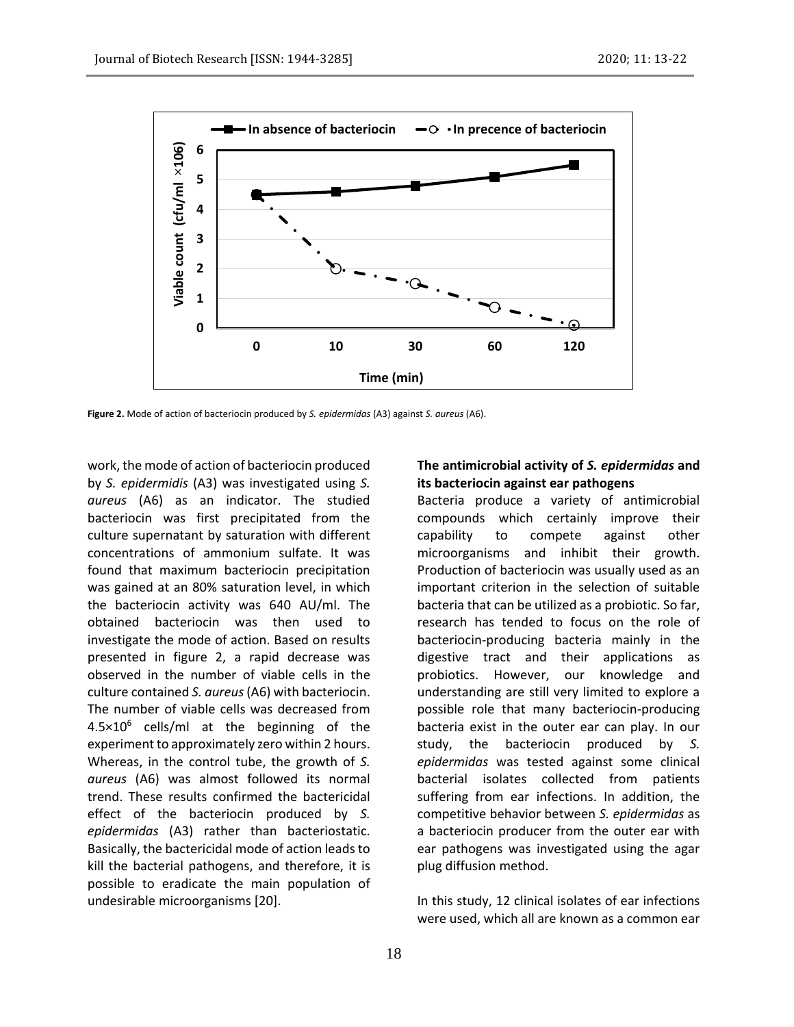

**Figure 2.** Mode of action of bacteriocin produced by *S. epidermidas* (A3) against *S. aureus* (A6).

work, the mode of action of bacteriocin produced by *S. epidermidis* (A3) was investigated using *S. aureus* (A6) as an indicator. The studied bacteriocin was first precipitated from the culture supernatant by saturation with different concentrations of ammonium sulfate. It was found that maximum bacteriocin precipitation was gained at an 80% saturation level, in which the bacteriocin activity was 640 AU/ml. The obtained bacteriocin was then used to investigate the mode of action. Based on results presented in figure 2, a rapid decrease was observed in the number of viable cells in the culture contained *S. aureus*(A6) with bacteriocin. The number of viable cells was decreased from  $4.5 \times 10^6$  cells/ml at the beginning of the experiment to approximately zero within 2 hours. Whereas, in the control tube, the growth of *S. aureus* (A6) was almost followed its normal trend. These results confirmed the bactericidal effect of the bacteriocin produced by *S. epidermidas* (A3) rather than bacteriostatic. Basically, the bactericidal mode of action leads to kill the bacterial pathogens, and therefore, it is possible to eradicate the main population of undesirable microorganisms [20].

## **The antimicrobial activity of** *S. epidermidas* **and its bacteriocin against ear pathogens**

Bacteria produce a variety of antimicrobial compounds which certainly improve their capability to compete against other microorganisms and inhibit their growth. Production of bacteriocin was usually used as an important criterion in the selection of suitable bacteria that can be utilized as a probiotic. So far, research has tended to focus on the role of bacteriocin-producing bacteria mainly in the digestive tract and their applications as probiotics. However, our knowledge and understanding are still very limited to explore a possible role that many bacteriocin-producing bacteria exist in the outer ear can play. In our study, the bacteriocin produced by *S. epidermidas* was tested against some clinical bacterial isolates collected from patients suffering from ear infections. In addition, the competitive behavior between *S. epidermidas* as a bacteriocin producer from the outer ear with ear pathogens was investigated using the agar plug diffusion method.

In this study, 12 clinical isolates of ear infections were used, which all are known as a common ear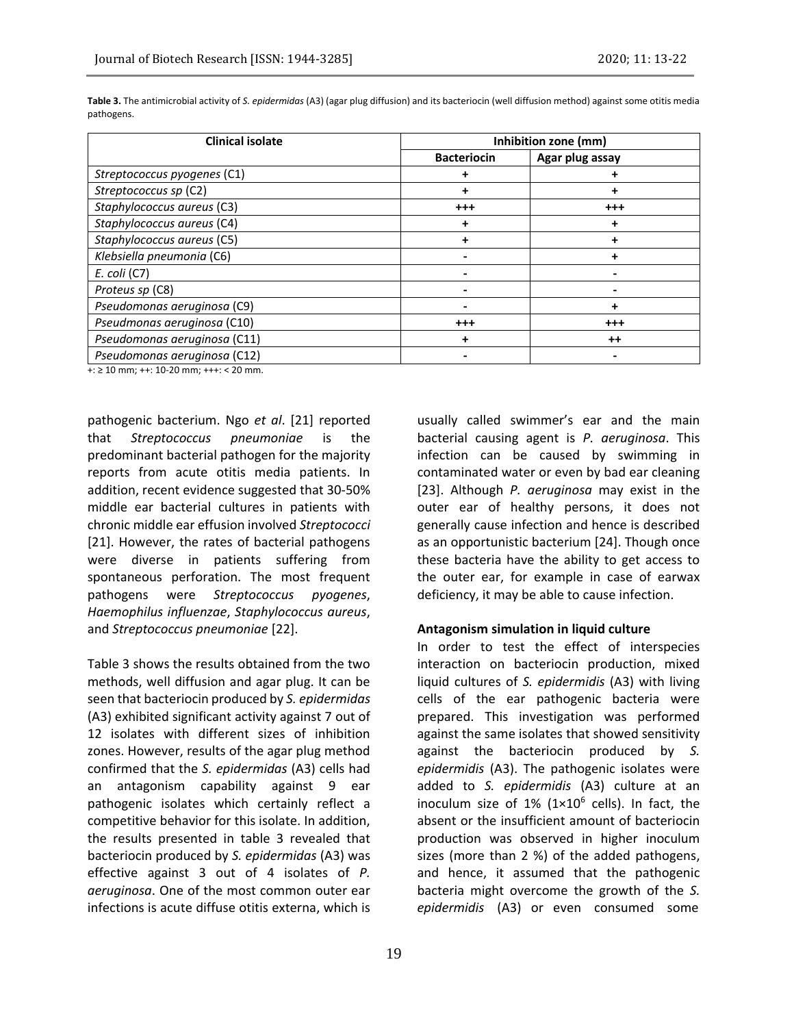| <b>Clinical isolate</b>      | Inhibition zone (mm) |                 |  |  |  |  |
|------------------------------|----------------------|-----------------|--|--|--|--|
|                              | <b>Bacteriocin</b>   | Agar plug assay |  |  |  |  |
| Streptococcus pyogenes (C1)  |                      |                 |  |  |  |  |
| Streptococcus sp (C2)        |                      |                 |  |  |  |  |
| Staphylococcus aureus (C3)   | $^{++}$              | $^{\rm ++}$     |  |  |  |  |
| Staphylococcus aureus (C4)   | T                    | ٠               |  |  |  |  |
| Staphylococcus aureus (C5)   |                      |                 |  |  |  |  |
| Klebsiella pneumonia (C6)    |                      |                 |  |  |  |  |
| $E.$ coli $(C7)$             |                      |                 |  |  |  |  |
| Proteus sp (C8)              |                      |                 |  |  |  |  |
| Pseudomonas aeruginosa (C9)  |                      | ÷               |  |  |  |  |
| Pseudmonas aeruginosa (C10)  | $^{++}$              | $^{\rm ++}$     |  |  |  |  |
| Pseudomonas aeruginosa (C11) |                      | $^{\mathrm{+}}$ |  |  |  |  |
| Pseudomonas aeruginosa (C12) |                      |                 |  |  |  |  |

**Table 3.** The antimicrobial activity of *S. epidermidas* (A3) (agar plug diffusion) and its bacteriocin (well diffusion method) against some otitis media pathogens.

 $+i \geq 10$  mm;  $+i$ : 10-20 mm;  $+i$  < 20 mm.

pathogenic bacterium. Ngo *et al*. [21] reported that *Streptococcus pneumoniae* is the predominant bacterial pathogen for the majority reports from acute otitis media patients. In addition, recent evidence suggested that 30-50% middle ear bacterial cultures in patients with chronic middle ear effusion involved *Streptococci*  [21]. However, the rates of bacterial pathogens were diverse in patients suffering from spontaneous perforation. The most frequent pathogens were *Streptococcus pyogenes*, *Haemophilus influenzae*, *Staphylococcus aureus*, and *Streptococcus pneumoniae* [22].

Table 3 shows the results obtained from the two methods, well diffusion and agar plug. It can be seen that bacteriocin produced by *S. epidermidas* (A3) exhibited significant activity against 7 out of 12 isolates with different sizes of inhibition zones. However, results of the agar plug method confirmed that the *S. epidermidas* (A3) cells had an antagonism capability against 9 ear pathogenic isolates which certainly reflect a competitive behavior for this isolate. In addition, the results presented in table 3 revealed that bacteriocin produced by *S. epidermidas* (A3) was effective against 3 out of 4 isolates of *P. aeruginosa*. One of the most common outer ear infections is acute diffuse otitis externa, which is

usually called swimmer's ear and the main bacterial causing agent is *P. aeruginosa*. This infection can be caused by swimming in contaminated water or even by bad ear cleaning [23]. Although *P. aeruginosa* may exist in the outer ear of healthy persons, it does not generally cause infection and hence is described as an opportunistic bacterium [24]. Though once these bacteria have the ability to get access to the outer ear, for example in case of earwax deficiency, it may be able to cause infection.

#### **Antagonism simulation in liquid culture**

In order to test the effect of interspecies interaction on bacteriocin production, mixed liquid cultures of *S. epidermidis* (A3) with living cells of the ear pathogenic bacteria were prepared. This investigation was performed against the same isolates that showed sensitivity against the bacteriocin produced by *S. epidermidis* (A3). The pathogenic isolates were added to *S. epidermidis* (A3) culture at an inoculum size of  $1\%$  ( $1\times10^6$  cells). In fact, the absent or the insufficient amount of bacteriocin production was observed in higher inoculum sizes (more than 2 %) of the added pathogens, and hence, it assumed that the pathogenic bacteria might overcome the growth of the *S. epidermidis* (A3) or even consumed some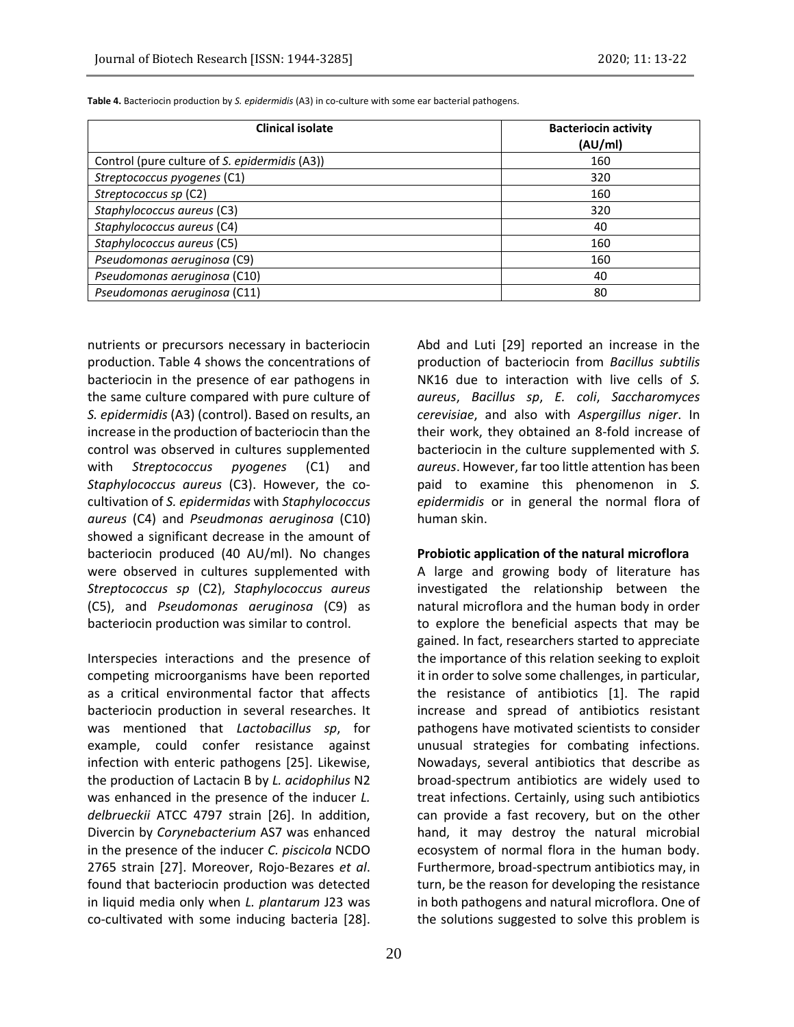| <b>Clinical isolate</b>                       | <b>Bacteriocin activity</b><br>(AU/ml) |  |  |  |
|-----------------------------------------------|----------------------------------------|--|--|--|
|                                               |                                        |  |  |  |
| Control (pure culture of S. epidermidis (A3)) | 160                                    |  |  |  |
| Streptococcus pyogenes (C1)                   | 320                                    |  |  |  |
| Streptococcus sp (C2)                         | 160                                    |  |  |  |
| Staphylococcus aureus (C3)                    | 320                                    |  |  |  |
| Staphylococcus aureus (C4)                    | 40                                     |  |  |  |

*Staphylococcus aureus* (C5) 160 *Pseudomonas aeruginosa* (C9) 160 metrosas aeruginosas et al. 160 metrosas et al. 160 metrosas et al. 160 metrosas et al. 160 metrosas et al. 160 metrosas et al. 160 metrosas et al. 160 metrosas et al. 160 metrosas et al. *Pseudomonas aeruginosa* (C10) 40 **Pseudomonas aeruginosa (C11)** 80

**Table 4.** Bacteriocin production by *S. epidermidis* (A3) in co-culture with some ear bacterial pathogens.

nutrients or precursors necessary in bacteriocin production. Table 4 shows the concentrations of bacteriocin in the presence of ear pathogens in the same culture compared with pure culture of *S. epidermidis* (A3) (control). Based on results, an increase in the production of bacteriocin than the control was observed in cultures supplemented with *Streptococcus pyogenes* (C1) and *Staphylococcus aureus* (C3). However, the cocultivation of *S. epidermidas* with *Staphylococcus aureus* (C4) and *Pseudmonas aeruginosa* (C10) showed a significant decrease in the amount of bacteriocin produced (40 AU/ml). No changes were observed in cultures supplemented with *Streptococcus sp* (C2), *Staphylococcus aureus* (C5), and *Pseudomonas aeruginosa* (C9) as bacteriocin production was similar to control.

Interspecies interactions and the presence of competing microorganisms have been reported as a critical environmental factor that affects bacteriocin production in several researches. It was mentioned that *Lactobacillus sp*, for example, could confer resistance against infection with enteric pathogens [25]. Likewise, the production of Lactacin B by *L. acidophilus* N2 was enhanced in the presence of the inducer *L. delbrueckii* ATCC 4797 strain [26]. In addition, Divercin by *Corynebacterium* AS7 was enhanced in the presence of the inducer *C. piscicola* NCDO 2765 strain [27]. Moreover, Rojo-Bezares *et al*. found that bacteriocin production was detected in liquid media only when *L. plantarum* J23 was co-cultivated with some inducing bacteria [28].

Abd and Luti [29] reported an increase in the production of bacteriocin from *Bacillus subtilis* NK16 due to interaction with live cells of *S. aureus*, *Bacillus sp*, *E. coli*, *Saccharomyces cerevisiae*, and also with *Aspergillus niger*. In their work, they obtained an 8-fold increase of bacteriocin in the culture supplemented with *S. aureus*. However, far too little attention has been paid to examine this phenomenon in *S. epidermidis* or in general the normal flora of human skin.

#### **Probiotic application of the natural microflora**

A large and growing body of literature has investigated the relationship between the natural microflora and the human body in order to explore the beneficial aspects that may be gained. In fact, researchers started to appreciate the importance of this relation seeking to exploit it in order to solve some challenges, in particular, the resistance of antibiotics [1]. The rapid increase and spread of antibiotics resistant pathogens have motivated scientists to consider unusual strategies for combating infections. Nowadays, several antibiotics that describe as broad-spectrum antibiotics are widely used to treat infections. Certainly, using such antibiotics can provide a fast recovery, but on the other hand, it may destroy the natural microbial ecosystem of normal flora in the human body. Furthermore, broad-spectrum antibiotics may, in turn, be the reason for developing the resistance in both pathogens and natural microflora. One of the solutions suggested to solve this problem is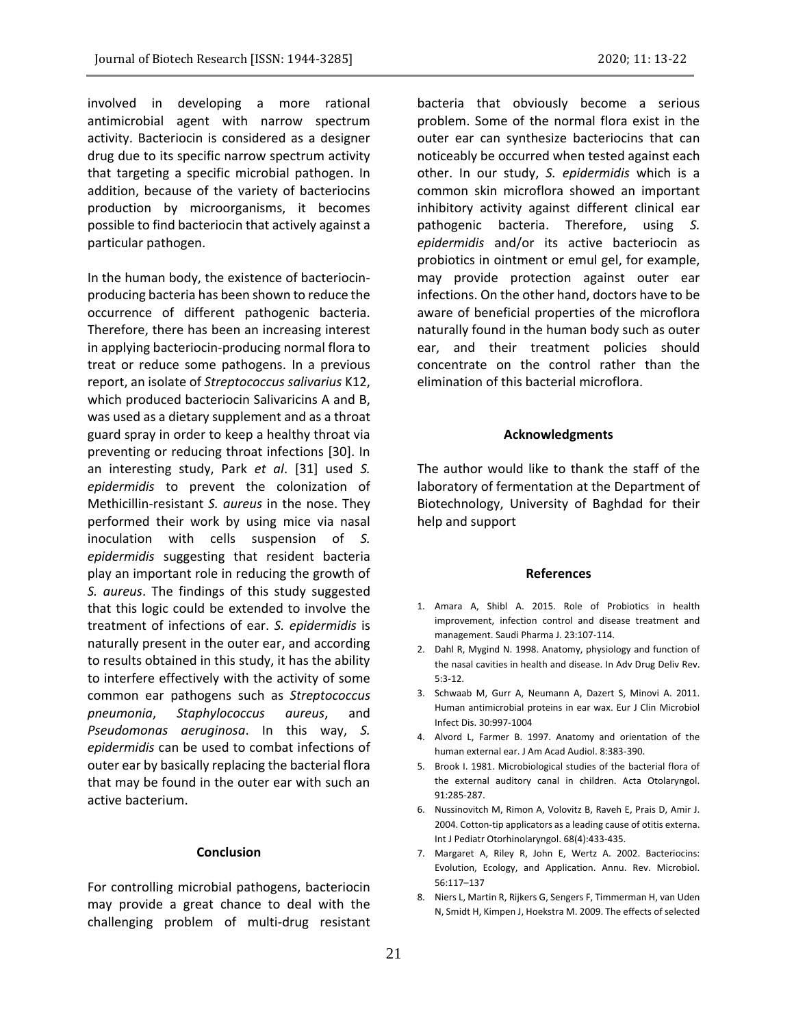involved in developing a more rational antimicrobial agent with narrow spectrum activity. Bacteriocin is considered as a designer drug due to its specific narrow spectrum activity that targeting a specific microbial pathogen. In addition, because of the variety of bacteriocins production by microorganisms, it becomes possible to find bacteriocin that actively against a particular pathogen.

In the human body, the existence of bacteriocinproducing bacteria has been shown to reduce the occurrence of different pathogenic bacteria. Therefore, there has been an increasing interest in applying bacteriocin-producing normal flora to treat or reduce some pathogens. In a previous report, an isolate of *Streptococcus salivarius* K12, which produced bacteriocin Salivaricins A and B, was used as a dietary supplement and as a throat guard spray in order to keep a healthy throat via preventing or reducing throat infections [30]. In an interesting study, Park *et al*. [31] used *S. epidermidis* to prevent the colonization of Methicillin-resistant *S. aureus* in the nose. They performed their work by using mice via nasal inoculation with cells suspension of *S. epidermidis* suggesting that resident bacteria play an important role in reducing the growth of *S. aureus*. The findings of this study suggested that this logic could be extended to involve the treatment of infections of ear. *S. epidermidis* is naturally present in the outer ear, and according to results obtained in this study, it has the ability to interfere effectively with the activity of some common ear pathogens such as *Streptococcus pneumonia*, *Staphylococcus aureus*, and *Pseudomonas aeruginosa*. In this way, *S. epidermidis* can be used to combat infections of outer ear by basically replacing the bacterial flora that may be found in the outer ear with such an active bacterium.

## **Conclusion**

For controlling microbial pathogens, bacteriocin may provide a great chance to deal with the challenging problem of multi-drug resistant

bacteria that obviously become a serious problem. Some of the normal flora exist in the outer ear can synthesize bacteriocins that can noticeably be occurred when tested against each other. In our study, *S. epidermidis* which is a common skin microflora showed an important inhibitory activity against different clinical ear pathogenic bacteria. Therefore, using *S. epidermidis* and/or its active bacteriocin as probiotics in ointment or emul gel, for example, may provide protection against outer ear infections. On the other hand, doctors have to be aware of beneficial properties of the microflora naturally found in the human body such as outer ear, and their treatment policies should concentrate on the control rather than the elimination of this bacterial microflora.

### **Acknowledgments**

The author would like to thank the staff of the laboratory of fermentation at the Department of Biotechnology, University of Baghdad for their help and support

#### **References**

- 1. Amara A, Shibl A. 2015. Role of Probiotics in health improvement, infection control and disease treatment and management. Saudi Pharma J. 23:107-114.
- 2. Dahl R, Mygind N. 1998. Anatomy, physiology and function of the nasal cavities in health and disease. In Adv Drug Deliv Rev. 5:3-12.
- 3. Schwaab M, Gurr A, Neumann A, Dazert S, Minovi A. 2011. Human antimicrobial proteins in ear wax. Eur J Clin Microbiol Infect Dis. 30:997-1004
- 4. Alvord L, Farmer B. 1997. Anatomy and orientation of the human external ear. J Am Acad Audiol. 8:383-390.
- 5. Brook I. 1981. Microbiological studies of the bacterial flora of the external auditory canal in children. Acta Otolaryngol. 91:285-287.
- 6. Nussinovitch M, Rimon A, Volovitz B, Raveh E, Prais D, Amir J. 2004. Cotton-tip applicators as a leading cause of otitis externa. Int J Pediatr Otorhinolaryngol. 68(4):433-435.
- 7. Margaret A, Riley R, John E, Wertz A. 2002. Bacteriocins: Evolution, Ecology, and Application. Annu. Rev. Microbiol. 56:117–137
- 8. Niers L, Martin R, Rijkers G, Sengers F, Timmerman H, van Uden N, Smidt H, Kimpen J, Hoekstra M. 2009. The effects of selected